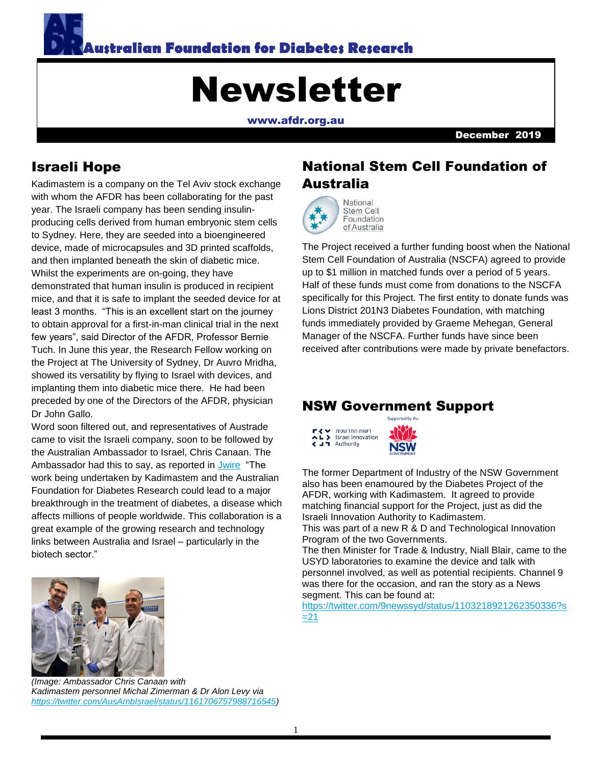

# Newsletter

[www.afdr.org.au](http://www.afdr.org.au/)

December 2019

#### Israeli Hope

Kadimastem is a company on the Tel Aviv stock exchange with whom the AFDR has been collaborating for the past year. The Israeli company has been sending insulinproducing cells derived from human embryonic stem cells to Sydney. Here, they are seeded into a bioengineered device, made of microcapsules and 3D printed scaffolds, and then implanted beneath the skin of diabetic mice. Whilst the experiments are on-going, they have demonstrated that human insulin is produced in recipient mice, and that it is safe to implant the seeded device for at least 3 months. "This is an excellent start on the journey to obtain approval for a first-in-man clinical trial in the next few years", said Director of the AFDR, Professor Bernie Tuch. In June this year, the Research Fellow working on the Project at The University of Sydney, Dr Auvro Mridha, showed its versatility by flying to Israel with devices, and implanting them into diabetic mice there. He had been preceded by one of the Directors of the AFDR, physician Dr John Gallo.

Word soon filtered out, and representatives of Austrade came to visit the Israeli company, soon to be followed by the Australian Ambassador to Israel, Chris Canaan. The Ambassador had this to say, as reported in [Jwire](http://www.jwire.com.au/australia-and-israel-on-groundbreaking-diabetes-development/) "The work being undertaken by Kadimastem and the Australian Foundation for Diabetes Research could lead to a major breakthrough in the treatment of diabetes, a disease which affects millions of people worldwide. This collaboration is a great example of the growing research and technology links between Australia and Israel – particularly in the biotech sector."



*(Image: Ambassador Chris Canaan with Kadimastem personnel Michal Zimerman & Dr Alon Levy via [https://twitter.com/AusAmbIsrael/status/1161706757988716545\)](https://twitter.com/AusAmbIsrael/status/1161706757988716545)*

# National Stem Cell Foundation of Australia



Stem Cell Foundation of Australia

The Project received a further funding boost when the National Stem Cell Foundation of Australia (NSCFA) agreed to provide up to \$1 million in matched funds over a period of 5 years. Half of these funds must come from donations to the NSCFA specifically for this Project. The first entity to donate funds was Lions District 201N3 Diabetes Foundation, with matching funds immediately provided by Graeme Mehegan, General Manager of the NSCFA. Further funds have since been received after contributions were made by private benefactors.

#### NSW Government Support



The former Department of Industry of the NSW Government also has been enamoured by the Diabetes Project of the AFDR, working with Kadimastem. It agreed to provide matching financial support for the Project, just as did the Israeli Innovation Authority to Kadimastem.

This was part of a new R & D and Technological Innovation Program of the two Governments.

The then Minister for Trade & Industry, Niall Blair, came to the USYD laboratories to examine the device and talk with personnel involved, as well as potential recipients. Channel 9 was there for the occasion, and ran the story as a News segment. This can be found at:

[https://twitter.com/9newssyd/status/1103218921262350336?s](https://twitter.com/9newssyd/status/1103218921262350336?s=21)  $=21$